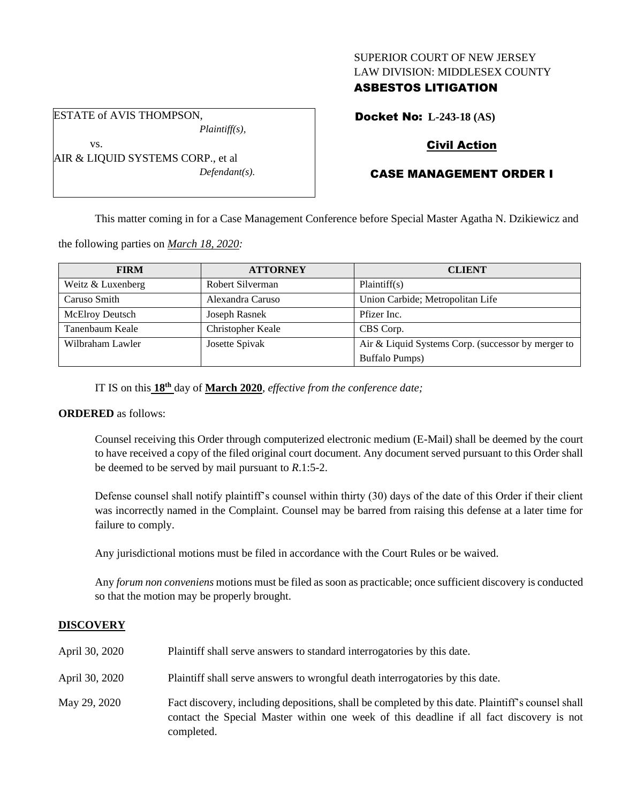## SUPERIOR COURT OF NEW JERSEY LAW DIVISION: MIDDLESEX COUNTY

## ASBESTOS LITIGATION

ESTATE of AVIS THOMPSON,

vs.

*Plaintiff(s),*

AIR & LIQUID SYSTEMS CORP., et al *Defendant(s).* Docket No: **L-243-18 (AS)**

# Civil Action

# CASE MANAGEMENT ORDER I

This matter coming in for a Case Management Conference before Special Master Agatha N. Dzikiewicz and

the following parties on *March 18, 2020:*

| <b>FIRM</b>            | <b>ATTORNEY</b>   | <b>CLIENT</b>                                      |
|------------------------|-------------------|----------------------------------------------------|
| Weitz & Luxenberg      | Robert Silverman  | Plaintiff(s)                                       |
| Caruso Smith           | Alexandra Caruso  | Union Carbide; Metropolitan Life                   |
| <b>McElroy Deutsch</b> | Joseph Rasnek     | Pfizer Inc.                                        |
| Tanenbaum Keale        | Christopher Keale | CBS Corp.                                          |
| Wilbraham Lawler       | Josette Spivak    | Air & Liquid Systems Corp. (successor by merger to |
|                        |                   | <b>Buffalo Pumps)</b>                              |

IT IS on this **18th** day of **March 2020**, *effective from the conference date;*

## **ORDERED** as follows:

Counsel receiving this Order through computerized electronic medium (E-Mail) shall be deemed by the court to have received a copy of the filed original court document. Any document served pursuant to this Order shall be deemed to be served by mail pursuant to *R*.1:5-2.

Defense counsel shall notify plaintiff's counsel within thirty (30) days of the date of this Order if their client was incorrectly named in the Complaint. Counsel may be barred from raising this defense at a later time for failure to comply.

Any jurisdictional motions must be filed in accordance with the Court Rules or be waived.

Any *forum non conveniens* motions must be filed as soon as practicable; once sufficient discovery is conducted so that the motion may be properly brought.

## **DISCOVERY**

| April 30, 2020 | Plaintiff shall serve answers to standard interrogatories by this date.                                                                                                                                     |
|----------------|-------------------------------------------------------------------------------------------------------------------------------------------------------------------------------------------------------------|
| April 30, 2020 | Plaintiff shall serve answers to wrongful death interrogatories by this date.                                                                                                                               |
| May 29, 2020   | Fact discovery, including depositions, shall be completed by this date. Plaintiff's counsel shall<br>contact the Special Master within one week of this deadline if all fact discovery is not<br>completed. |